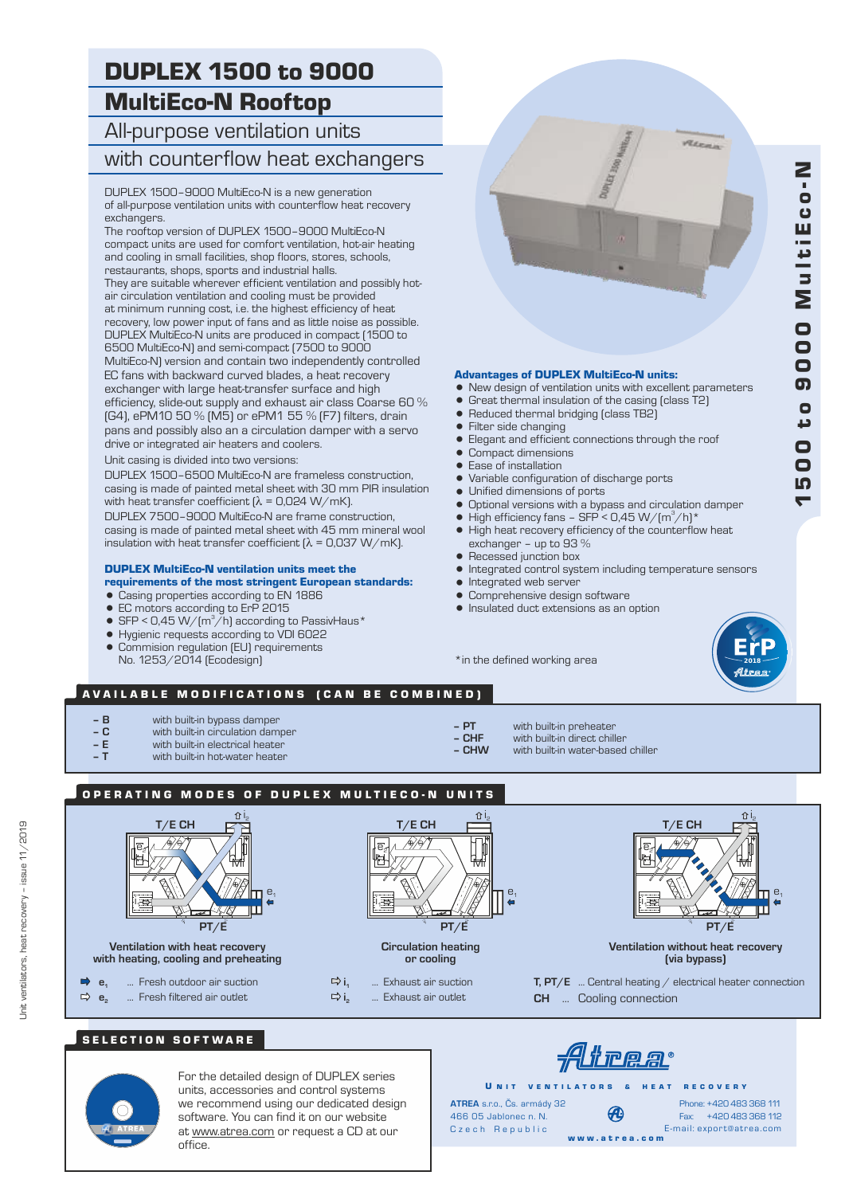# DUPLEX 1500 to 9000 MultiEco-N Rooftop

# All-purpose ventilation units with counterflow heat exchangers

DUPLEX 1500–9000 MultiEco-N is a new generation of all-purpose ventilation units with counterflow heat recovery exchangers.

The rooftop version of DUPLEX 1500–9000 MultiEco-N compact units are used for comfort ventilation, hot-air heating and cooling in small facilities, shop floors, stores, schools, restaurants, shops, sports and industrial halls. They are suitable wherever efficient ventilation and possibly hotair circulation ventilation and cooling must be provided at minimum running cost, i.e. the highest efficiency of heat recovery, low power input of fans and as little noise as possible. DUPLEX MultiEco-N units are produced in compact (1500 to 6500 MultiEco-N) and semi-compact (7500 to 9000 MultiEco-N) version and contain two independently controlled EC fans with backward curved blades, a heat recovery exchanger with large heat-transfer surface and high efficiency, slide-out supply and exhaust air class Coarse 60 % (G4), ePM10 50 % (M5) or ePM1 55 % (F7) filters, drain pans and possibly also an a circulation damper with a servo drive or integrated air heaters and coolers.

Unit casing is divided into two versions:

DUPLEX 1500–6500 MultiEco-N are frameless construction, casing is made of painted metal sheet with 30 mm PIR insulation with heat transfer coefficient  $[\lambda = 0.024 \text{ W/mK}]$ . DUPLEX 7500–9000 MultiEco-N are frame construction, casing is made of painted metal sheet with 45 mm mineral wool

insulation with heat transfer coefficient  $[\lambda = 0.037 \text{ W/mK}]$ .

# DUPLEX MultiEco-N ventilation units meet the

- requirements of the most stringent European standards:
- Casing properties according to EN 1886
- EC motors according to ErP 2015<br>• SEP < 0.45 W/(m<sup>3</sup>/h) according to
- $SFP < 0.45 W/(m^3/h)$  according to PassivHaus\*
- = Hygienic requests according to VDI 6022
- Commision regulation (EU) requirements No. 1253/2014 (Ecodesign)



#### Advantages of DUPLEX MultiEco-N units:

- New design of ventilation units with excellent parameters
- Great thermal insulation of the casing (class T2)
- $\bullet$  Reduced thermal bridging (class TB2)<br> $\bullet$  Filter side changing
- Filter side changing<br>• Flegant and efficient
- Elegant and efficient connections through the roof
- Compact dimensions
- Ease of installation
- Variable configuration of discharge ports
- Unified dimensions of ports
- 
- Optional versions with a bypass and circulation damper<br>• High efficiency fans SEP < 0.45 W/(m<sup>3</sup>/h)\* High efficiency fans – SFP < 0,45 W/(m<sup>3</sup>/h)\*
- High heat recovery efficiency of the counterflow heat exchanger – up to 93 %
- Recessed junction box
- Integrated control system including temperature sensors<br>● Integrated web server
- Integrated web server
- **Comprehensive design software**
- $\bullet$  Insulated duct extensions as an option

\*in the defined working area



 $\blacktriangledown$ **10** 

0 0

د o ග  $\blacksquare$ 

0 0

M

u l t i E

 $\mathbf C$ 

Z<br>o

### AVAILABLE MODIFICATIONS (CAN BE COMBINED)

- **B** with built-in bypass damper<br> **C** with built-in circulation damp
- **C** with built-in circulation damper
- **E** with built-in electrical heater
- with built-in hot-water heater
- 
- **PT** with built-in preheater **– CHF** with built-in direct chiller<br> **– CHW** with built-in water-based
	- **CHW** with built-in water-based chiller
- OPERATING MODES OF DUPLEX MULTIECO-N UNITS



## SELECTION SOFTWARE



For the detailed design of DUPLEX series units, accessories and control systems we recommend using our dedicated design software. You can find it on our website at www.atrea.com or request a CD at our office.

466 05 Jablonec n. N. U N IT VENTILATORS & HEAT RECOVERY **ATREA** s.r.o., Čs. armády 32

Trea

Fax: +420 483 368 112 Phone: +420 483 368 111 E-mail: export@atrea.com

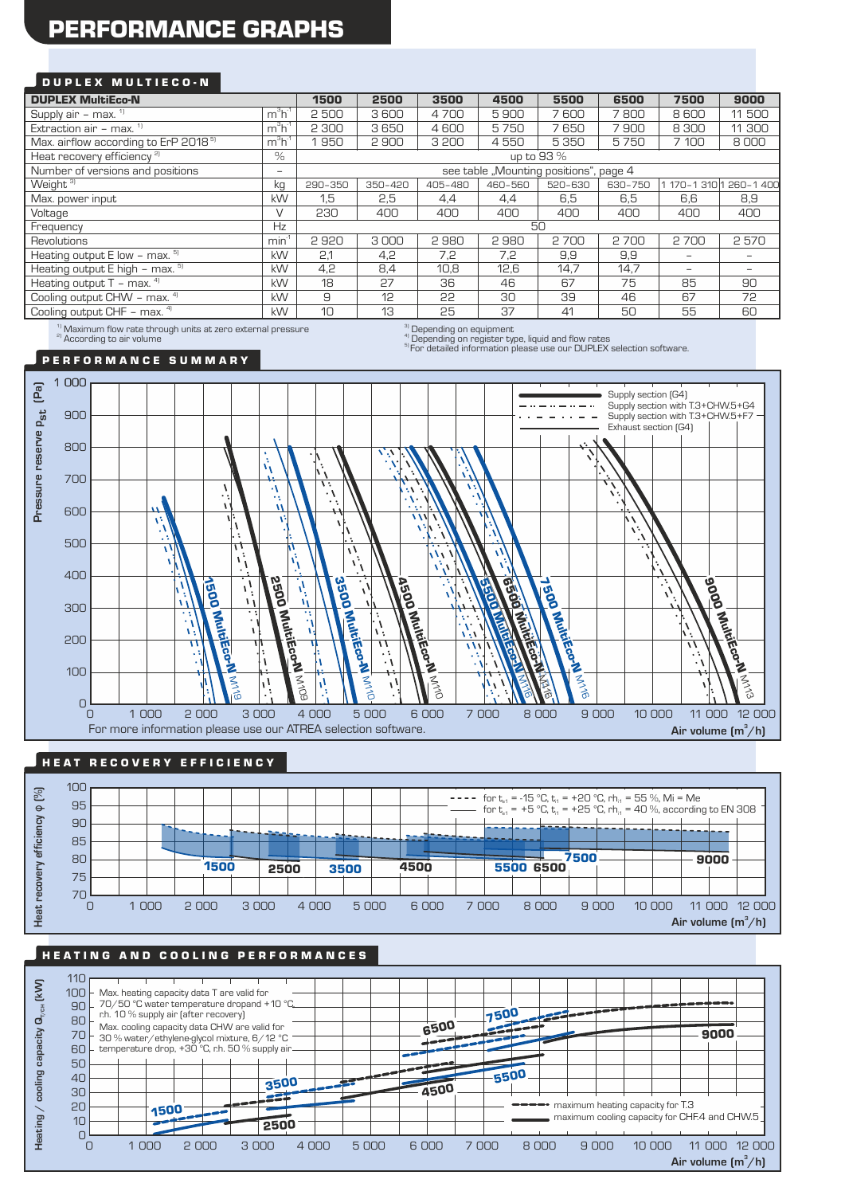# PERFORMANCE GRAPHS

### DUPLEX MULTIECO-N

| <b>DUPLEX MultiEco-N</b>                                                                                        |                          | 1500<br>2500<br>3500<br>4500<br>5500<br>6500<br>7500 |                   |         |         | 9000    |         |                          |                          |
|-----------------------------------------------------------------------------------------------------------------|--------------------------|------------------------------------------------------|-------------------|---------|---------|---------|---------|--------------------------|--------------------------|
| Supply air - max. $1$                                                                                           | $m^3h^4$                 | 2500                                                 | 3600              | 4700    | 5900    | 7600    | 7800    | 8600                     | 11 500                   |
| Extraction air - max. $1$                                                                                       | $m3h-1$                  | 2 300                                                | 3650              | 4600    | 5750    | 7650    | 7900    | 8 3 0 0                  | 11 300                   |
| Max. airflow according to ErP 2018 <sup>5)</sup>                                                                | $m3h-1$                  | 950                                                  | 2900              | 3 200   | 4550    | 5350    | 5750    | 7 100                    | 8000                     |
| Heat recovery efficiency <sup>2)</sup>                                                                          | $\%$                     | up to 93 %                                           |                   |         |         |         |         |                          |                          |
| Number of versions and positions                                                                                | $\overline{\phantom{0}}$ | see table "Mounting positions", page 4               |                   |         |         |         |         |                          |                          |
| Weight <sup>3)</sup>                                                                                            | kg                       | 290-350                                              | 350-420           | 405-480 | 460-560 | 520-630 | 630-750 |                          | 1 170-1 310 1 260-1 400  |
| Max. power input                                                                                                | kW                       | 1,5                                                  | 2,5               | 4,4     | 4,4     | 6,5     | 6,5     | 6,6                      | 8,9                      |
| Voltage                                                                                                         | $\vee$                   | 230                                                  | 400               | 400     | 400     | 400     | 400     | 400                      | 400                      |
| Frequency                                                                                                       | Hz                       | 50                                                   |                   |         |         |         |         |                          |                          |
| Revolutions                                                                                                     | $min-1$                  | 2920                                                 | 3000              | 2980    | 2980    | 2700    | 2700    | 2700                     | 2570                     |
| Heating output $E$ low - max. $5$                                                                               | kW                       | 2.1                                                  | 4,2               | 7,2     | 7,2     | 9,9     | 9,9     | $\overline{\phantom{0}}$ | $\overline{\phantom{0}}$ |
| Heating output $E$ high – max. $5$                                                                              | kW                       | 4.2                                                  | 8,4               | 10,8    | 12,6    | 14,7    | 14,7    | $\qquad \qquad -$        | -                        |
| Heating output $T - \text{max.}$ <sup>4)</sup>                                                                  | <b>kW</b>                | 18                                                   | 27                | 36      | 46      | 67      | 75      | 85                       | 90                       |
| Cooling output CHW - max. 4)                                                                                    | kW                       | 9                                                    | 12                | 55      | 30      | 39      | 46      | 67                       | 72                       |
| Cooling output CHF - max. 4)                                                                                    | <b>kW</b>                | 10                                                   | 13                | 25      | 37      | 41      | 50      | 55                       | 60                       |
| the contract of the contract of the contract of the contract of the contract of the contract of the contract of |                          |                                                      | <b>CONTRACTOR</b> |         |         |         |         |                          |                          |

 $^{1)}$  Maximum flow rate through units at zero external pressure<br><sup>a)</sup> According to air volume

 $\sigma^{\rm (3)}_{\rm (1)}$  Depending on equipment<br> $\sigma^{\rm (4)}_{\rm (2)}$  Depending on register type, liquid and flow rates

Superiority of the system who, inquired the test that the contract of the selection software.

P E R F O R M A N C E S U M M A R Y



## HEAT RECOVERY EFFICIENCY



# HEATING AND COOLING PERFORMANCES

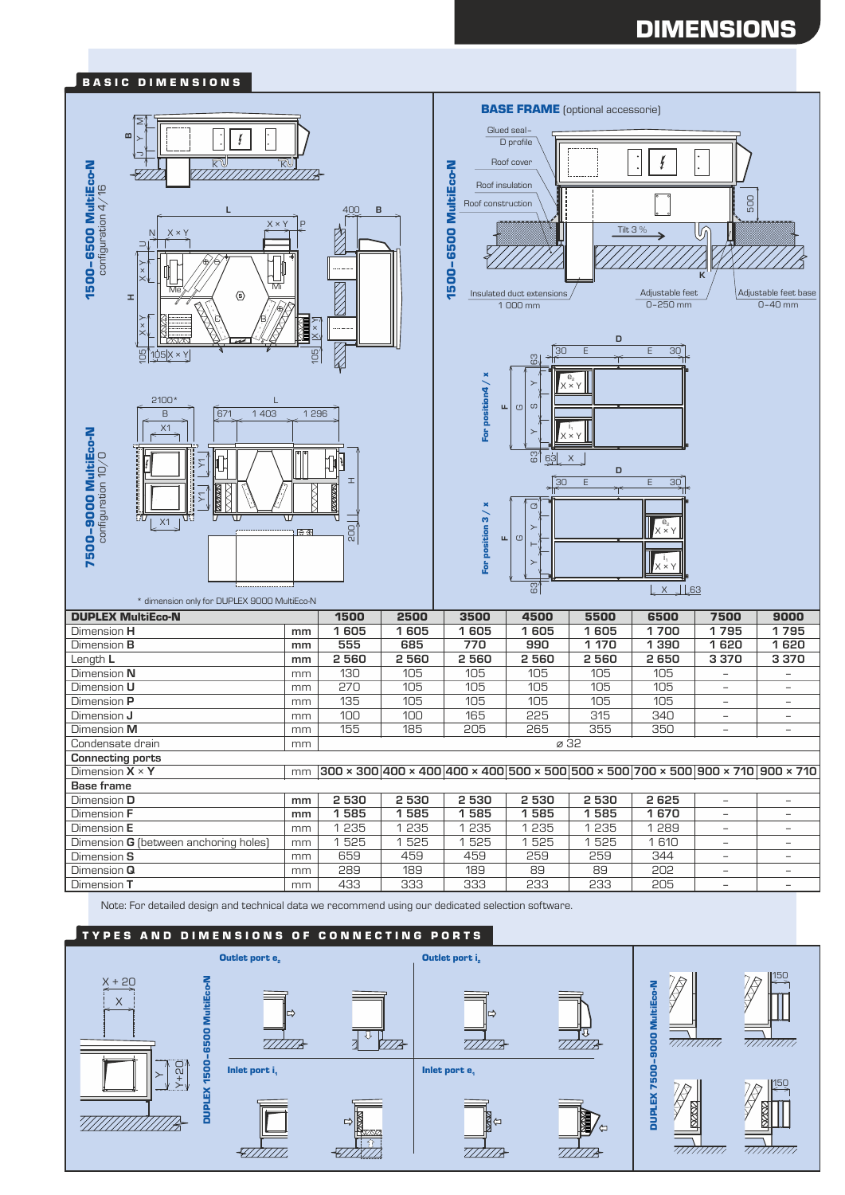# DIMENSIONS



Note: For detailed design and technical data we recommend using our dedicated selection software.

#### TYPES AND DIMENSIONS OF CONNECTING PORTS

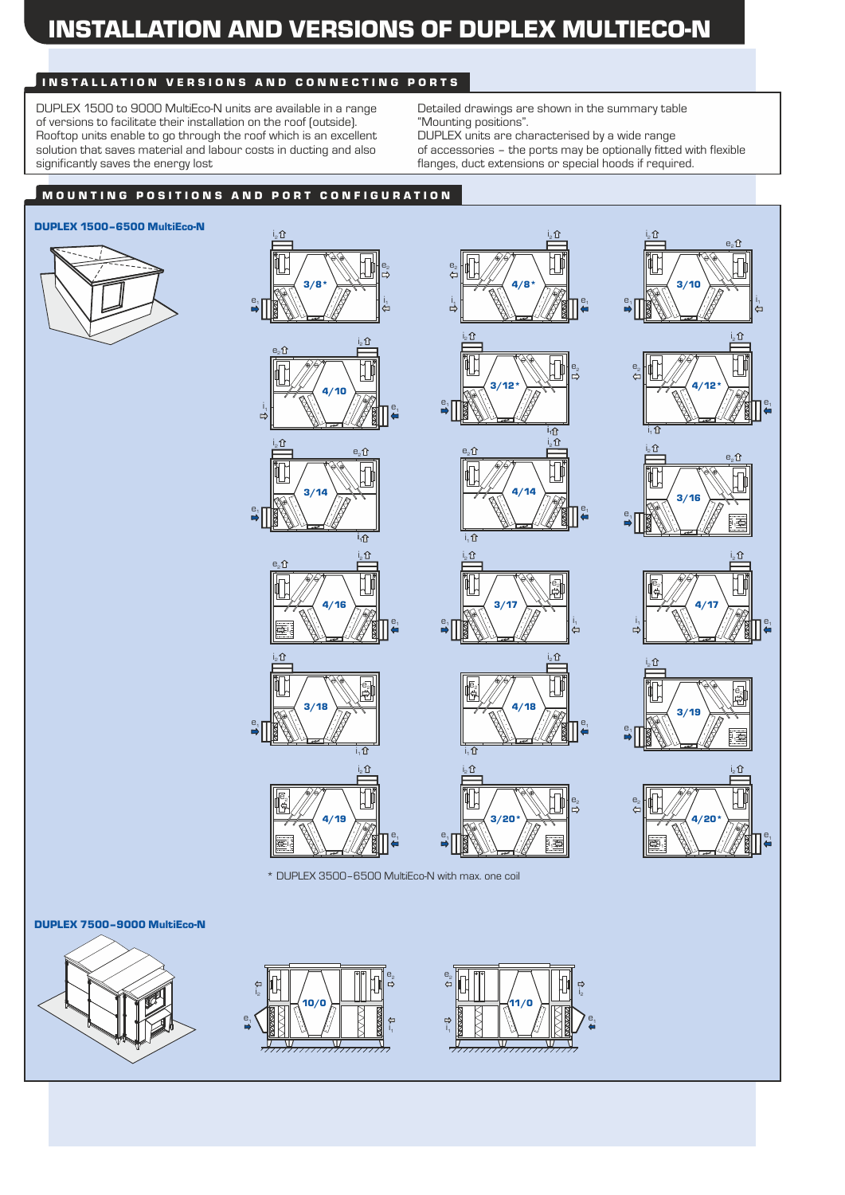# INSTALLATION AND VERSIONS OF DUPLEX MULTIECO-N

# INSTALLATION VERSIONS AND CONNECTING PORTS

DUPLEX 1500 to 9000 MultiEco-N units are available in a range of versions to facilitate their installation on the roof (outside). Rooftop units enable to go through the roof which is an excellent solution that saves material and labour costs in ducting and also significantly saves the energy lost

Detailed drawings are shown in the summary table "Mounting positions". DUPLEX units are characterised by a wide range

of accessories – the ports may be optionally fitted with flexible flanges, duct extensions or special hoods if required.

# MOUNTING POSITIONS AND PORT CONFIGURATION

## DUPLEX 1500–6500 MultiEco-N









 $e<sub>2</sub>$ î

i. û





DUPLEX 7500–9000 MultiEco-N







 $\frac{1}{1}$ 

 $i_2$   $\Omega$ 

3/20\*

i1

¢

 $e<sub>z</sub>$ 

 $e<sub>1</sub>$ 

\* DUPLEX 3500–6500 MultiEco-N with max. one coil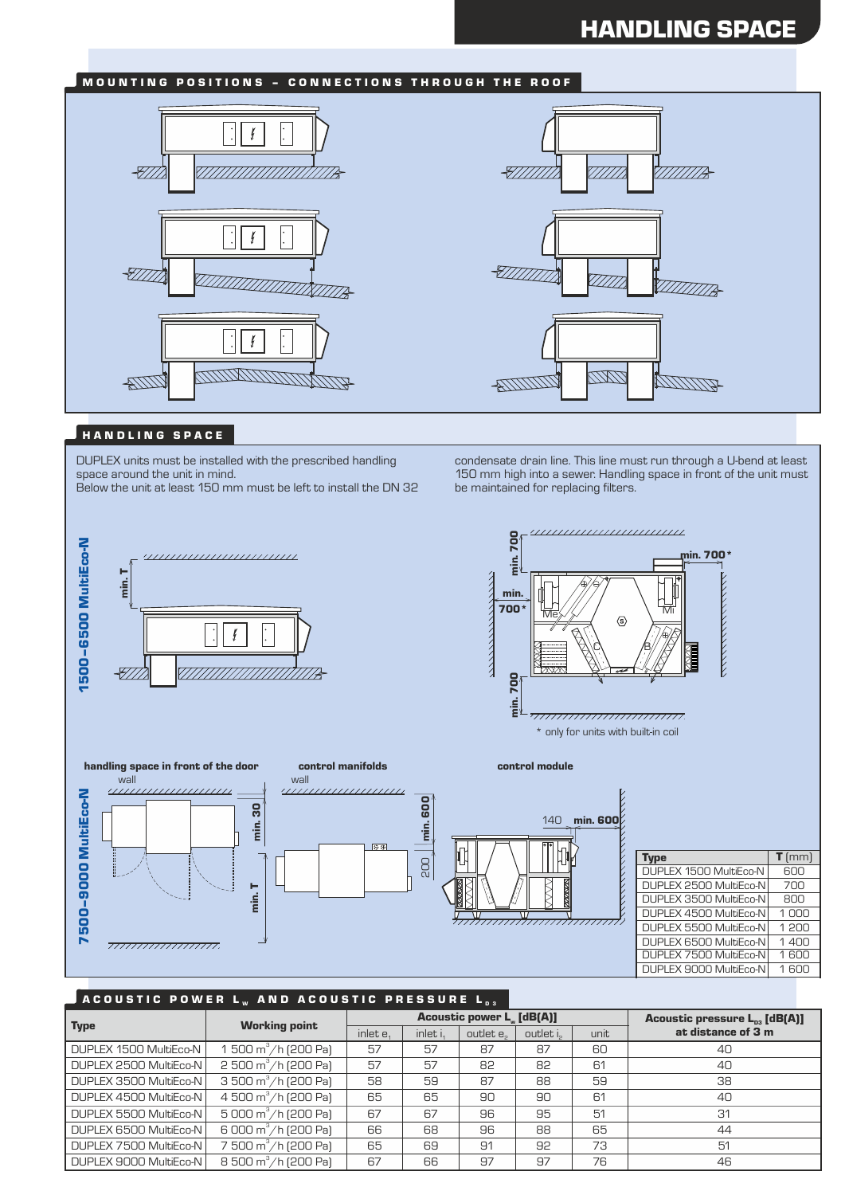# HANDLING SPACE

# MOUNTING POSITIONS - CONNECTIONS THROUGH THE ROOF





### HANDLING SPACE

DUPLEX units must be installed with the prescribed handling space around the unit in mind.

Below the unit at least 150 mm must be left to install the DN 32



condensate drain line. This line must run through a U-bend at least 150 mm high into a sewer. Handling space in front of the unit must be maintained for replacing filters.





### ACOUSTIC POWER L<sub>w</sub> and acoustic pressure L<sub>D3</sub>

|                        | <b>Working point</b>                           |             |                      | <b>Acoustic power L. [dB(A)]</b> | Acoustic pressure L <sub>p3</sub> [dB(A)] |      |                    |
|------------------------|------------------------------------------------|-------------|----------------------|----------------------------------|-------------------------------------------|------|--------------------|
| <b>Type</b>            |                                                | inlet $e_1$ | inlet i <sub>1</sub> | outlet e <sub>2</sub>            | outlet is                                 | unit | at distance of 3 m |
| DUPLEX 1500 MultiEco-N | 1 500 $\text{m}^3/\text{h}$ (200 Pa)           | 57          | 57                   | 87                               | 87                                        | 60   | 40                 |
| DUPLEX 2500 MultiEco-N | $2500 \text{ m}^3/\text{h}$ (200 Pa)           | 57          | 57                   | 82                               | 82                                        | 61   | 40                 |
| DUPLEX 3500 MultiEco-N | 3 500 m <sup>3</sup> /h [200 Pa]               | 58          | 59                   | 87                               | 88                                        | 59   | 38                 |
| DUPLEX 4500 MultiEco-N | 4 500 m <sup>3</sup> /h (200 Pa)               | 65          | 65                   | 90                               | 90                                        | 61   | 40                 |
| DUPLEX 5500 MultiEco-N | $\frac{1}{5}000 \text{ m}^3/\text{h}$ (200 Pa) | 67          | 67                   | 96                               | 95                                        | 51   | 31                 |
| DUPLEX 6500 MultiEco-N | 6 000 m <sup>3</sup> /h (200 Pa)               | 66          | 68                   | 96                               | 88                                        | 65   | 44                 |
| DUPLEX 7500 MultiEco-N | 7 500 m <sup>3</sup> /h [200 Pa]               | 65          | 69                   | 91                               | 92                                        | 73   | 51                 |
| DUPLEX 9000 MultiEco-N | 8 500 m <sup>3</sup> /h (200 Pa)               | 67          | 66                   | 97                               | 97                                        | 76   | 46                 |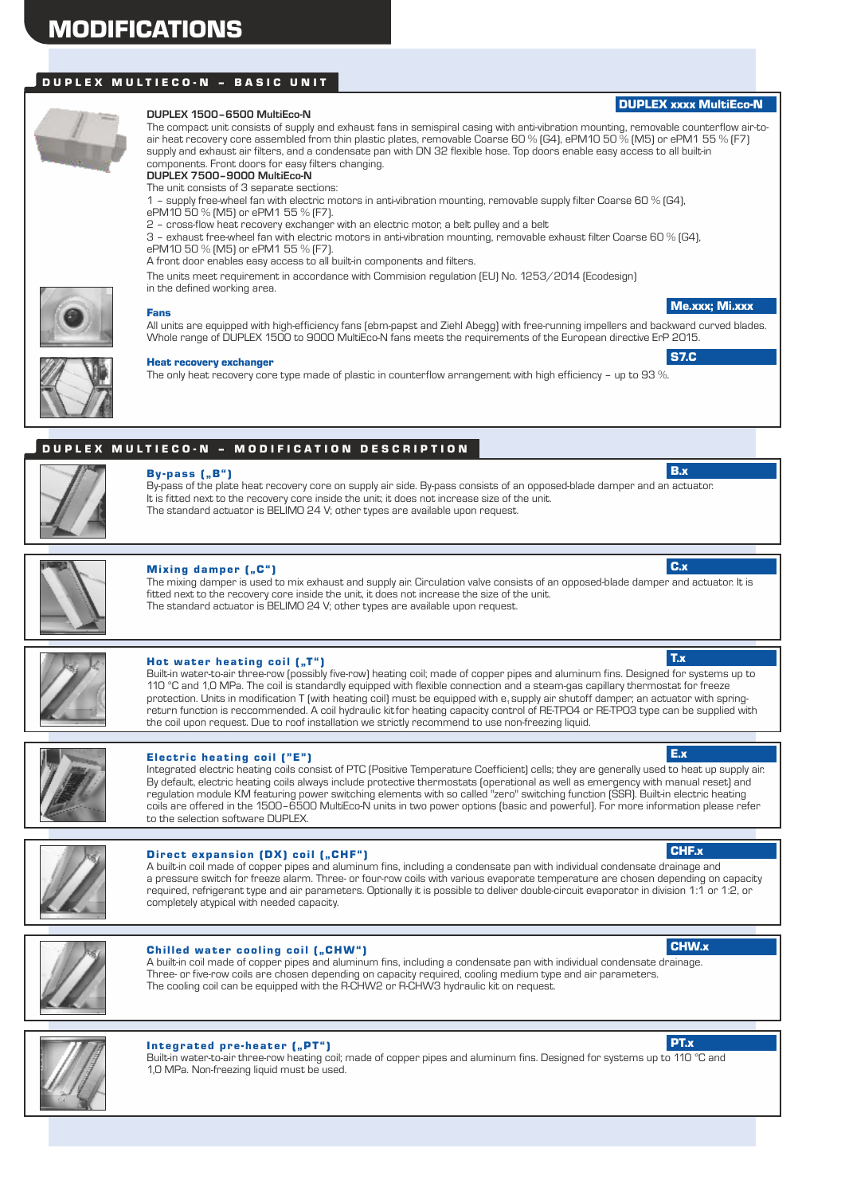# DUPLEX MULTIECO-N - BASIC UNIT



#### **DUPLEX 1500–6500 MultiEco-N**

The compact unit consists of supply and exhaust fans in semispiral casing with anti-vibration mounting, removable counterflow air-toair heat recovery core assembled from thin plastic plates, removable Coarse 60 % (G4), ePM10 50 % (M5) or ePM1 55 % (F7) supply and exhaust air filters, and a condensate pan with DN 32 flexible hose. Top doors enable easy access to all built-in components. Front doors for easy filters changing. **DUPLEX 7500–9000 MultiEco-N**

The unit consists of 3 separate sections:

1 – supply free-wheel fan with electric motors in anti-vibration mounting, removable supply filter Coarse 60 % (G4),

- ePM10 50 % (M5) or ePM1 55 % (F7).
- 2 cross-flow heat recovery exchanger with an electric motor, a belt pulley and a belt

3 – exhaust free-wheel fan with electric motors in anti-vibration mounting, removable exhaust filter Coarse 60 % (G4), ePM10 50 % (M5) or ePM1 55 % (F7).

A front door enables easy access to all built-in components and filters.

The units meet requirement in accordance with Commision regulation (EU) No. 1253/2014 (Ecodesign)

in the defined working area.



# Fans

All units are equipped with high-efficiency fans (ebm-papst and Ziehl Abegg) with free-running impellers and backward curved blades. Whole range of DUPLEX 1500 to 9000 MultiEco-N fans meets the requirements of the European directive ErP 2015.

#### Heat recovery exchanger

The only heat recovery core type made of plastic in counterflow arrangement with high efficiency – up to 93 %.

# DUPLEX MULTIECO-N - MODIFICATION DESCRIPTION



# $By-pass$   $[, B"$

By-pass of the plate heat recovery core on supply air side. By-pass consists of an opposed-blade damper and an actuator. It is fitted next to the recovery core inside the unit; it does not increase size of the unit. The standard actuator is BELIMO 24 V; other types are available upon request.



#### Mixing damper (..C")

The mixing damper is used to mix exhaust and supply air. Circulation valve consists of an opposed-blade damper and actuator. It is fitted next to the recovery core inside the unit, it does not increase the size of the unit. The standard actuator is BELIMO 24 V; other types are available upon request.



### Hot water heating coil  $($ "T" $)$

Built-in water-to-air three-row (possibly five-row) heating coil; made of copper pipes and aluminum fins. Designed for systems up to 110 °C and 1,0 MPa. The coil is standardly equipped with flexible connection and a steam-gas capillary thermostat for freeze protection. Units in modification T (with heating coil) must be equipped with e, supply air shutoff damper; an actuator with springreturn function is reccommended. A coil hydraulic kitfor heating capacity control of RE-TPO4 or RE-TPO3 type can be supplied with the coil upon request. Due to roof installation we strictly recommend to use non-freezing liquid.



#### Electric heating coil  $("E")$

Integrated electric heating coils consist of PTC (Positive Temperature Coefficient) cells; they are generally used to heat up supply air. By default, electric heating coils always include protective thermostats (operational as well as emergency with manual reset) and regulation module KM featuring power switching elements with so called "zero" switching function (SSR). Built-in electric heating coils are offered in the 1500–6500 MultiEco-N units in two power options (basic and powerful). For more information please refer to the selection software DUPLEX.

#### Direct expansion (DX) coil ("CHF")

A built-in coil made of copper pipes and aluminum fins, including a condensate pan with individual condensate drainage and a pressure switch for freeze alarm. Three- or four-row coils with various evaporate temperature are chosen depending on capacity required, refrigerant type and air parameters. Optionally it is possible to deliver double-circuit evaporator in division 1:1 or 1:2, or completely atypical with needed capacity.



#### Chilled water cooling coil ("CHW")

A built-in coil made of copper pipes and aluminum fins, including a condensate pan with individual condensate drainage. Three- or five-row coils are chosen depending on capacity required, cooling medium type and air parameters. The cooling coil can be equipped with the R-CHW2 or R-CHW3 hydraulic kit on request.



#### Integrated pre-heater ("PT")

Built-in water-to-air three-row heating coil; made of copper pipes and aluminum fins. Designed for systems up to 110 °C and 1,0 MPa. Non-freezing liquid must be used.

# CHF.x



PT.x



Me.xxx; Mi.xxx

S7.C

B.x

C.x

T.x

E.x

DUPLEX xxxx MultiEco-N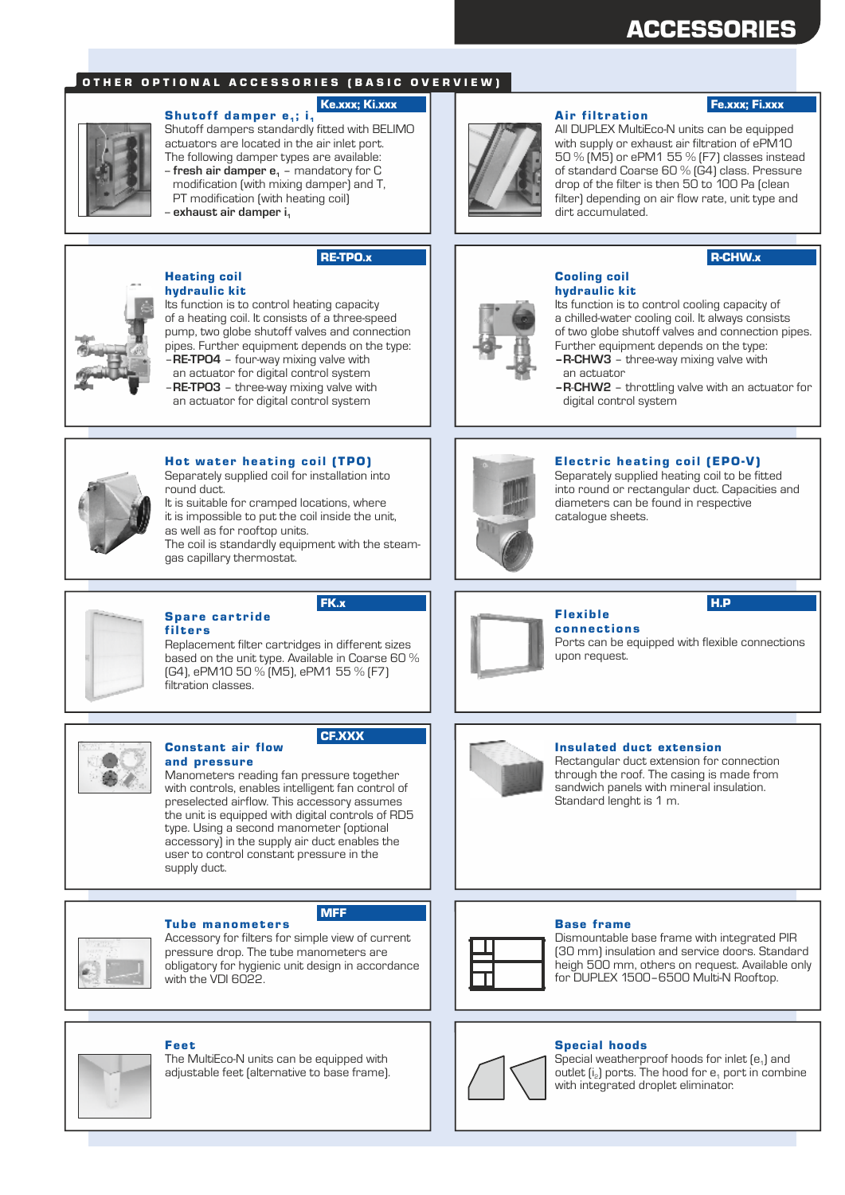# ACCESSORIES

### OTHER OPTIONAL ACCESSORIES (BASIC OVERVIEW)

#### Ke.xxx; Ki.xxx

Shutoff damper  $e_1$ ; i<sub>1</sub> Shutoff dampers standardly fitted with BELIMO actuators are located in the air inlet port. The following damper types are available: -- **fresh air damper e** – mandatory for C **<sup>1</sup>** modification (with mixing damper) and T, PT modification (with heating coil)

-- **exhaust air damper i<sup>1</sup>**

# RE-TPO.x



#### Heating coil hydraulic kit

Its function is to control heating capacity of a heating coil. It consists of a three-speed pump, two globe shutoff valves and connection pipes. Further equipment depends on the type: –**RE-TPO4** – four-way mixing valve with an actuator for digital control system

–**RE-TPO3** – three-way mixing valve with an actuator for digital control system



#### Hot water heating coil (TPO)

Separately supplied coil for installation into round duct.

It is suitable for cramped locations, where it is impossible to put the coil inside the unit, as well as for rooftop units. The coil is standardly equipment with the steamgas capillary thermostat.

#### Spare cartride filters

Constant air flow

Replacement filter cartridges in different sizes based on the unit type. Available in Coarse 60 % (G4), ePM10 50 % (M5), ePM1 55 % (F7) filtration classes.



#### CF.XXX

and pressure Manometers reading fan pressure together with controls, enables intelligent fan control of preselected airflow. This accessory assumes the unit is equipped with digital controls of RD5 type. Using a second manometer (optional accessory) in the supply air duct enables the user to control constant pressure in the supply duct.



#### **Tube manometers**

Accessory for filters for simple view of current pressure drop. The tube manometers are obligatory for hygienic unit design in accordance with the VDI 6022.

MFF



### Fee t

The MultiEco-N units can be equipped with adjustable feet (alternative to base frame).



#### **Air filtration**

## Fe.xxx; Fi.xxx

All DUPLEX MultiEco-N units can be equipped with supply or exhaust air filtration of ePM10 50 % (M5) or ePM1 55 % (F7) classes instead of standard Coarse 60 % (G4) class. Pressure drop of the filter is then 50 to 100 Pa (clean filter) depending on air flow rate, unit type and dirt accumulated.

### R-CHW.x



#### Cooling coil hydraulic kit

Its function is to control cooling capacity of a chilled-water cooling coil. It always consists of two globe shutoff valves and connection pipes. Further equipment depends on the type: **–R-CHW3** – three-way mixing valve with

- an actuator
- **–R**-**CHW2** throttling valve with an actuator for digital control system



#### Electric heating coil (EPO-V)

Separately supplied heating coil to be fitted into round or rectangular duct. Capacities and diameters can be found in respective catalogue sheets.



**connections** Ports can be equipped with flexible connections upon request.



#### Insulated duct extension

Rectangular duct extension for connection through the roof. The casing is made from sandwich panels with mineral insulation. Standard lenght is 1 m.

#### Base frame



Dismountable base frame with integrated PIR (30 mm) insulation and service doors. Standard heigh 500 mm, others on request. Available only for DUPLEX 1500–6500 Multi-N Rooftop.

#### Special hoods



Special weatherproof hoods for inlet  $[e_1]$  and outlet  $[i_2]$  ports. The hood for  $e_1$  port in combine with integrated droplet eliminator.